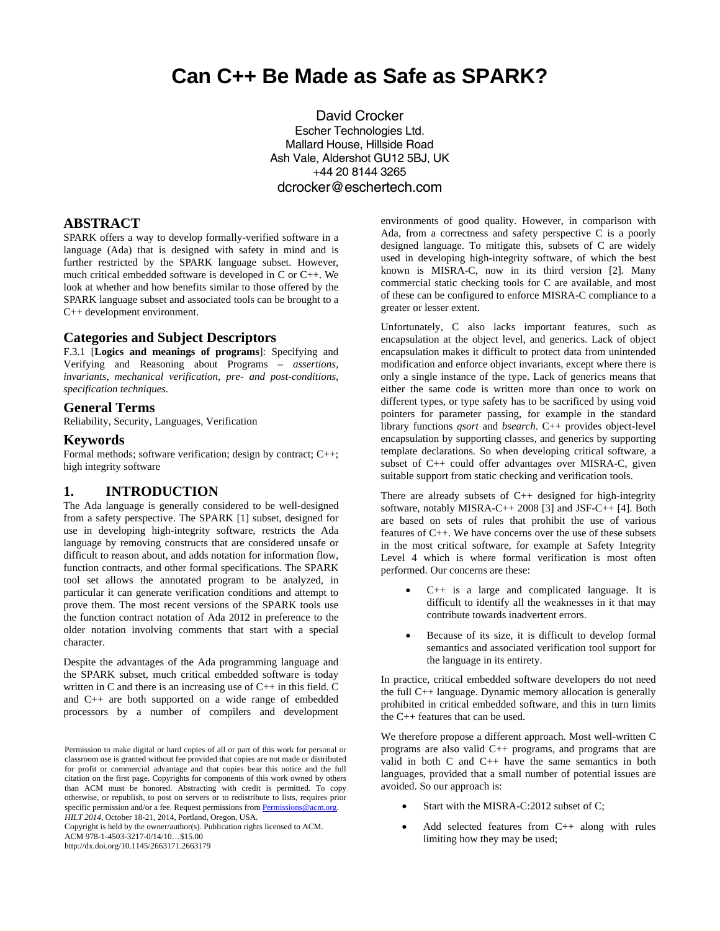# **Can C++ Be Made as Safe as SPARK?**

David Crocker Escher Technologies Ltd. Mallard House, Hillside Road Ash Vale, Aldershot GU12 5BJ, UK +44 20 8144 3265 dcrocker@eschertech.com

### **ABSTRACT**

SPARK offers a way to develop formally-verified software in a language (Ada) that is designed with safety in mind and is further restricted by the SPARK language subset. However, much critical embedded software is developed in C or C++. We look at whether and how benefits similar to those offered by the SPARK language subset and associated tools can be brought to a C++ development environment.

#### **Categories and Subject Descriptors**

F.3.1 [**Logics and meanings of programs**]: Specifying and Verifying and Reasoning about Programs – *assertions, invariants, mechanical verification, pre- and post-conditions, specification techniques.* 

#### **General Terms**

Reliability, Security, Languages, Verification

#### **Keywords**

Formal methods; software verification; design by contract; C++; high integrity software

## **1. INTRODUCTION**

The Ada language is generally considered to be well-designed from a safety perspective. The SPARK [1] subset, designed for use in developing high-integrity software, restricts the Ada language by removing constructs that are considered unsafe or difficult to reason about, and adds notation for information flow, function contracts, and other formal specifications. The SPARK tool set allows the annotated program to be analyzed, in particular it can generate verification conditions and attempt to prove them. The most recent versions of the SPARK tools use the function contract notation of Ada 2012 in preference to the older notation involving comments that start with a special character.

Despite the advantages of the Ada programming language and the SPARK subset, much critical embedded software is today written in C and there is an increasing use of C++ in this field. C and C++ are both supported on a wide range of embedded processors by a number of compilers and development

Copyright is held by the owner/author(s). Publication rights licensed to ACM. ACM 978-1-4503-3217-0/14/10…\$15.00

http://dx.doi.org/10.1145/2663171.2663179

environments of good quality. However, in comparison with Ada, from a correctness and safety perspective C is a poorly designed language. To mitigate this, subsets of C are widely used in developing high-integrity software, of which the best known is MISRA-C, now in its third version [2]. Many commercial static checking tools for C are available, and most of these can be configured to enforce MISRA-C compliance to a greater or lesser extent.

Unfortunately, C also lacks important features, such as encapsulation at the object level, and generics. Lack of object encapsulation makes it difficult to protect data from unintended modification and enforce object invariants, except where there is only a single instance of the type. Lack of generics means that either the same code is written more than once to work on different types, or type safety has to be sacrificed by using void pointers for parameter passing, for example in the standard library functions *qsort* and *bsearch*. C++ provides object-level encapsulation by supporting classes, and generics by supporting template declarations. So when developing critical software, a subset of C++ could offer advantages over MISRA-C, given suitable support from static checking and verification tools.

There are already subsets of C++ designed for high-integrity software, notably MISRA-C++ 2008 [3] and JSF-C++ [4]. Both are based on sets of rules that prohibit the use of various features of C++. We have concerns over the use of these subsets in the most critical software, for example at Safety Integrity Level 4 which is where formal verification is most often performed. Our concerns are these:

- $\bullet$  C++ is a large and complicated language. It is difficult to identify all the weaknesses in it that may contribute towards inadvertent errors.
- Because of its size, it is difficult to develop formal semantics and associated verification tool support for the language in its entirety.

In practice, critical embedded software developers do not need the full C++ language. Dynamic memory allocation is generally prohibited in critical embedded software, and this in turn limits the C++ features that can be used.

We therefore propose a different approach. Most well-written C programs are also valid C++ programs, and programs that are valid in both C and C++ have the same semantics in both languages, provided that a small number of potential issues are avoided. So our approach is:

- Start with the MISRA-C:2012 subset of C;
- Add selected features from C++ along with rules limiting how they may be used;

Permission to make digital or hard copies of all or part of this work for personal or classroom use is granted without fee provided that copies are not made or distributed for profit or commercial advantage and that copies bear this notice and the full citation on the first page. Copyrights for components of this work owned by others than ACM must be honored. Abstracting with credit is permitted. To copy otherwise, or republish, to post on servers or to redistribute to lists, requires prior specific permission and/or a fee. Request permissions from Permissions @acm.org. *HILT 2014*, October 18-21, 2014, Portland, Oregon, USA.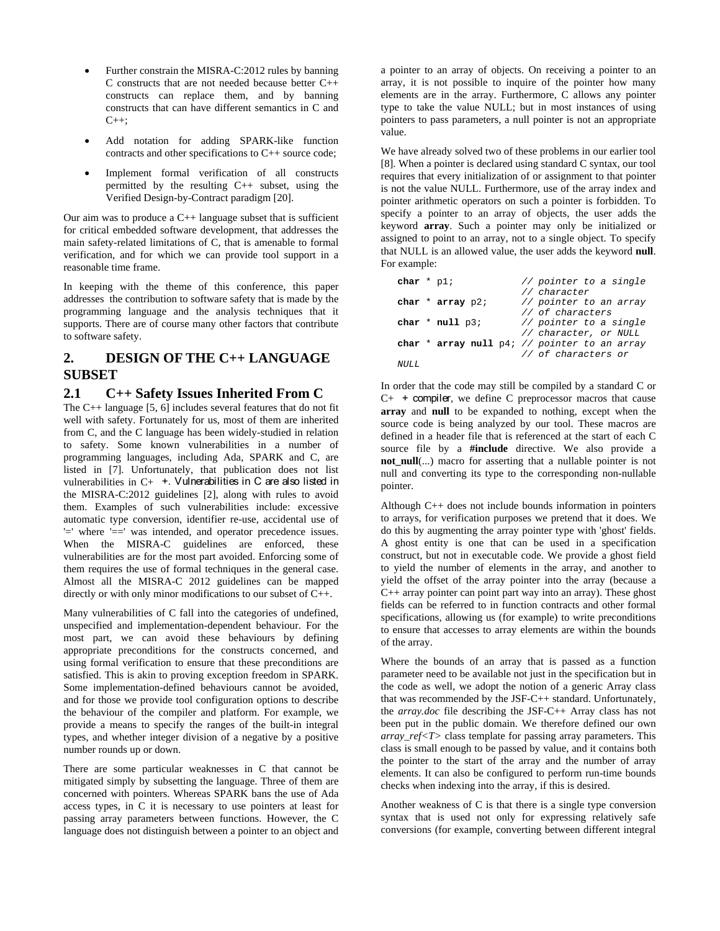- Further constrain the MISRA-C:2012 rules by banning C constructs that are not needed because better C++ constructs can replace them, and by banning constructs that can have different semantics in C and  $C_{++}$ .
- Add notation for adding SPARK-like function contracts and other specifications to C++ source code;
- Implement formal verification of all constructs permitted by the resulting C++ subset, using the Verified Design-by-Contract paradigm [20].

Our aim was to produce a  $C_{++}$  language subset that is sufficient for critical embedded software development, that addresses the main safety-related limitations of C, that is amenable to formal verification, and for which we can provide tool support in a reasonable time frame.

In keeping with the theme of this conference, this paper addresses the contribution to software safety that is made by the programming language and the analysis techniques that it supports. There are of course many other factors that contribute to software safety.

# **2. DESIGN OF THE C++ LANGUAGE SUBSET**

#### **2.1 C++ Safety Issues Inherited From C**

The C++ language [5, 6] includes several features that do not fit well with safety. Fortunately for us, most of them are inherited from C, and the C language has been widely-studied in relation to safety. Some known vulnerabilities in a number of programming languages, including Ada, SPARK and C, are listed in [7]. Unfortunately, that publication does not list vulnerabilities in C+ +. Vulnerabilities in C are also listed in the MISRA-C:2012 guidelines [2], along with rules to avoid them. Examples of such vulnerabilities include: excessive automatic type conversion, identifier re-use, accidental use of '=' where '==' was intended, and operator precedence issues. When the MISRA-C guidelines are enforced, these vulnerabilities are for the most part avoided. Enforcing some of them requires the use of formal techniques in the general case. Almost all the MISRA-C 2012 guidelines can be mapped directly or with only minor modifications to our subset of C++.

Many vulnerabilities of C fall into the categories of undefined, unspecified and implementation-dependent behaviour. For the most part, we can avoid these behaviours by defining appropriate preconditions for the constructs concerned, and using formal verification to ensure that these preconditions are satisfied. This is akin to proving exception freedom in SPARK. Some implementation-defined behaviours cannot be avoided, and for those we provide tool configuration options to describe the behaviour of the compiler and platform. For example, we provide a means to specify the ranges of the built-in integral types, and whether integer division of a negative by a positive number rounds up or down.

There are some particular weaknesses in C that cannot be mitigated simply by subsetting the language. Three of them are concerned with pointers. Whereas SPARK bans the use of Ada access types, in C it is necessary to use pointers at least for passing array parameters between functions. However, the C language does not distinguish between a pointer to an object and a pointer to an array of objects. On receiving a pointer to an array, it is not possible to inquire of the pointer how many elements are in the array. Furthermore, C allows any pointer type to take the value NULL; but in most instances of using pointers to pass parameters, a null pointer is not an appropriate value.

We have already solved two of these problems in our earlier tool [8]. When a pointer is declared using standard C syntax, our tool requires that every initialization of or assignment to that pointer is not the value NULL. Furthermore, use of the array index and pointer arithmetic operators on such a pointer is forbidden. To specify a pointer to an array of objects, the user adds the keyword **array**. Such a pointer may only be initialized or assigned to point to an array, not to a single object. To specify that NULL is an allowed value, the user adds the keyword **null**. For example:

| char $*$ pl; |                      | // pointer to a single                         |
|--------------|----------------------|------------------------------------------------|
|              |                      | // character                                   |
|              | char $*$ array $p2i$ | // pointer to an array                         |
|              |                      | // of characters                               |
|              | char $*$ null $p3$ ; | // pointer to a single                         |
|              |                      | // character, or NULL                          |
|              |                      | char * array null $p4i$ // pointer to an array |
|              |                      | // of characters or                            |
| NULL.        |                      |                                                |

In order that the code may still be compiled by a standard C or  $C_{+}$  + compiler, we define C preprocessor macros that cause **array** and **null** to be expanded to nothing, except when the source code is being analyzed by our tool. These macros are defined in a header file that is referenced at the start of each C source file by a **#include** directive. We also provide a **not\_null**(...) macro for asserting that a nullable pointer is not null and converting its type to the corresponding non-nullable pointer.

Although C++ does not include bounds information in pointers to arrays, for verification purposes we pretend that it does. We do this by augmenting the array pointer type with 'ghost' fields. A ghost entity is one that can be used in a specification construct, but not in executable code. We provide a ghost field to yield the number of elements in the array, and another to yield the offset of the array pointer into the array (because a  $C_{++}$  array pointer can point part way into an array). These ghost fields can be referred to in function contracts and other formal specifications, allowing us (for example) to write preconditions to ensure that accesses to array elements are within the bounds of the array.

Where the bounds of an array that is passed as a function parameter need to be available not just in the specification but in the code as well, we adopt the notion of a generic Array class that was recommended by the JSF-C++ standard. Unfortunately, the *array.doc* file describing the JSF-C++ Array class has not been put in the public domain. We therefore defined our own *array\_ref<T>* class template for passing array parameters. This class is small enough to be passed by value, and it contains both the pointer to the start of the array and the number of array elements. It can also be configured to perform run-time bounds checks when indexing into the array, if this is desired.

Another weakness of C is that there is a single type conversion syntax that is used not only for expressing relatively safe conversions (for example, converting between different integral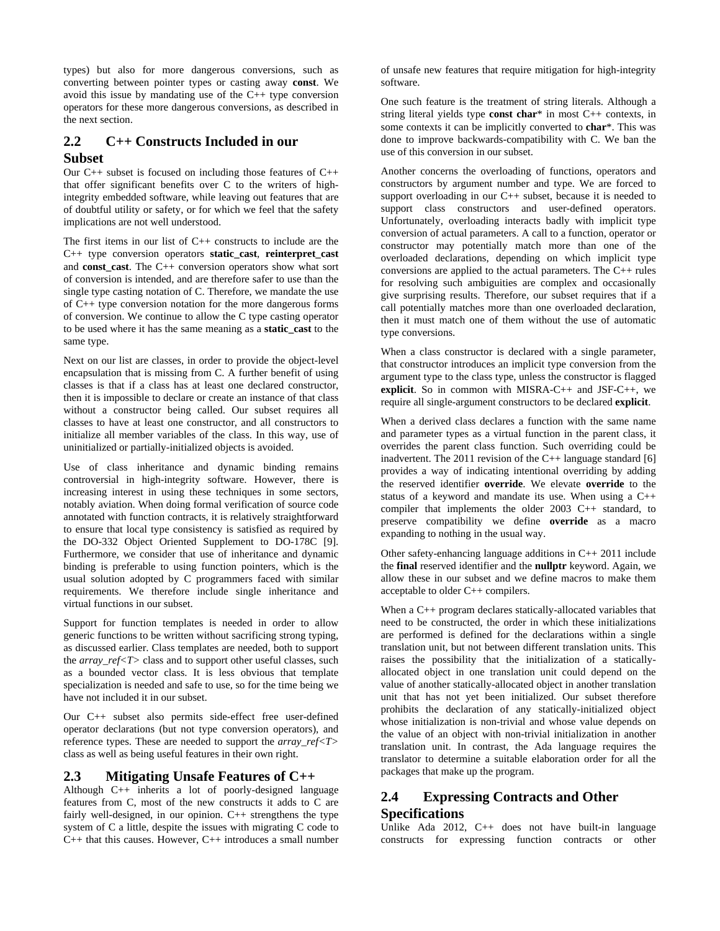types) but also for more dangerous conversions, such as converting between pointer types or casting away **const**. We avoid this issue by mandating use of the C++ type conversion operators for these more dangerous conversions, as described in the next section.

## **2.2 C++ Constructs Included in our Subset**

Our  $C_{++}$  subset is focused on including those features of  $C_{++}$ that offer significant benefits over C to the writers of highintegrity embedded software, while leaving out features that are of doubtful utility or safety, or for which we feel that the safety implications are not well understood.

The first items in our list of C++ constructs to include are the C++ type conversion operators **static\_cast**, **reinterpret\_cast** and **const\_cast**. The C++ conversion operators show what sort of conversion is intended, and are therefore safer to use than the single type casting notation of C. Therefore, we mandate the use of C++ type conversion notation for the more dangerous forms of conversion. We continue to allow the C type casting operator to be used where it has the same meaning as a **static\_cast** to the same type.

Next on our list are classes, in order to provide the object-level encapsulation that is missing from C. A further benefit of using classes is that if a class has at least one declared constructor, then it is impossible to declare or create an instance of that class without a constructor being called. Our subset requires all classes to have at least one constructor, and all constructors to initialize all member variables of the class. In this way, use of uninitialized or partially-initialized objects is avoided.

Use of class inheritance and dynamic binding remains controversial in high-integrity software. However, there is increasing interest in using these techniques in some sectors, notably aviation. When doing formal verification of source code annotated with function contracts, it is relatively straightforward to ensure that local type consistency is satisfied as required by the DO-332 Object Oriented Supplement to DO-178C [9]. Furthermore, we consider that use of inheritance and dynamic binding is preferable to using function pointers, which is the usual solution adopted by C programmers faced with similar requirements. We therefore include single inheritance and virtual functions in our subset.

Support for function templates is needed in order to allow generic functions to be written without sacrificing strong typing, as discussed earlier. Class templates are needed, both to support the *array\_ref<T>* class and to support other useful classes, such as a bounded vector class. It is less obvious that template specialization is needed and safe to use, so for the time being we have not included it in our subset.

Our C++ subset also permits side-effect free user-defined operator declarations (but not type conversion operators), and reference types. These are needed to support the *array\_ref<T>* class as well as being useful features in their own right.

#### **2.3 Mitigating Unsafe Features of C++**

Although C++ inherits a lot of poorly-designed language features from C, most of the new constructs it adds to C are fairly well-designed, in our opinion. C++ strengthens the type system of C a little, despite the issues with migrating C code to C++ that this causes. However, C++ introduces a small number of unsafe new features that require mitigation for high-integrity software.

One such feature is the treatment of string literals. Although a string literal yields type **const char**\* in most C++ contexts, in some contexts it can be implicitly converted to **char**\*. This was done to improve backwards-compatibility with C. We ban the use of this conversion in our subset.

Another concerns the overloading of functions, operators and constructors by argument number and type. We are forced to support overloading in our  $C_{++}$  subset, because it is needed to support class constructors and user-defined operators. Unfortunately, overloading interacts badly with implicit type conversion of actual parameters. A call to a function, operator or constructor may potentially match more than one of the overloaded declarations, depending on which implicit type conversions are applied to the actual parameters. The C++ rules for resolving such ambiguities are complex and occasionally give surprising results. Therefore, our subset requires that if a call potentially matches more than one overloaded declaration, then it must match one of them without the use of automatic type conversions.

When a class constructor is declared with a single parameter, that constructor introduces an implicit type conversion from the argument type to the class type, unless the constructor is flagged **explicit**. So in common with MISRA-C++ and JSF-C++, we require all single-argument constructors to be declared **explicit**.

When a derived class declares a function with the same name and parameter types as a virtual function in the parent class, it overrides the parent class function. Such overriding could be inadvertent. The 2011 revision of the  $C_{++}$  language standard [6] provides a way of indicating intentional overriding by adding the reserved identifier **override**. We elevate **override** to the status of a keyword and mandate its use. When using a C++ compiler that implements the older 2003 C++ standard, to preserve compatibility we define **override** as a macro expanding to nothing in the usual way.

Other safety-enhancing language additions in C++ 2011 include the **final** reserved identifier and the **nullptr** keyword. Again, we allow these in our subset and we define macros to make them acceptable to older C++ compilers.

When a C<sub>++</sub> program declares statically-allocated variables that need to be constructed, the order in which these initializations are performed is defined for the declarations within a single translation unit, but not between different translation units. This raises the possibility that the initialization of a staticallyallocated object in one translation unit could depend on the value of another statically-allocated object in another translation unit that has not yet been initialized. Our subset therefore prohibits the declaration of any statically-initialized object whose initialization is non-trivial and whose value depends on the value of an object with non-trivial initialization in another translation unit. In contrast, the Ada language requires the translator to determine a suitable elaboration order for all the packages that make up the program.

# **2.4 Expressing Contracts and Other Specifications**

Unlike Ada 2012, C++ does not have built-in language constructs for expressing function contracts or other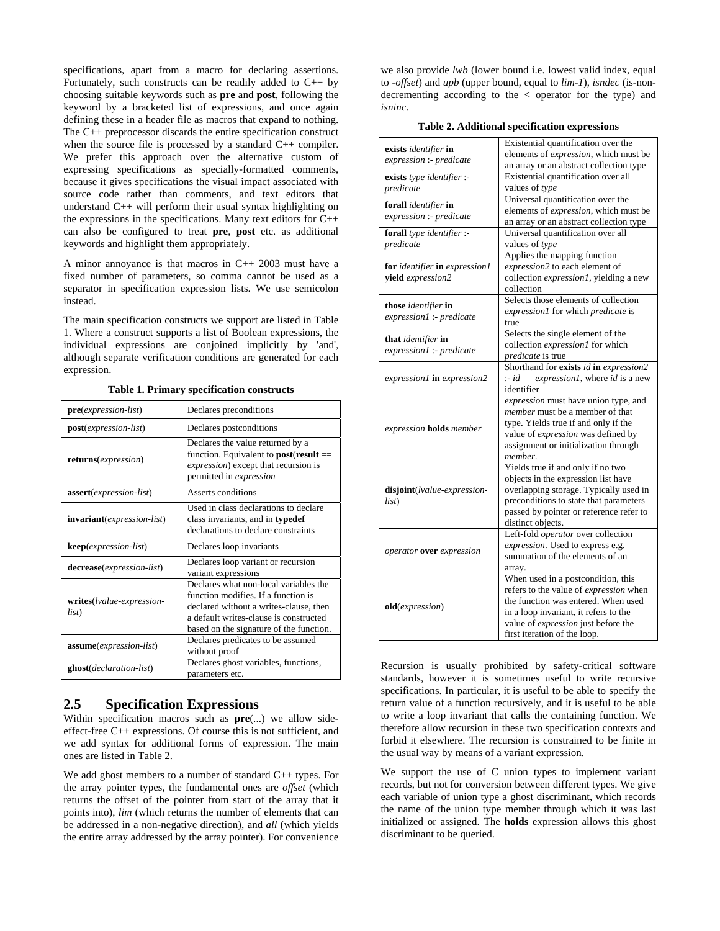specifications, apart from a macro for declaring assertions. Fortunately, such constructs can be readily added to C++ by choosing suitable keywords such as **pre** and **post**, following the keyword by a bracketed list of expressions, and once again defining these in a header file as macros that expand to nothing. The C++ preprocessor discards the entire specification construct when the source file is processed by a standard C++ compiler. We prefer this approach over the alternative custom of expressing specifications as specially-formatted comments, because it gives specifications the visual impact associated with source code rather than comments, and text editors that understand C++ will perform their usual syntax highlighting on the expressions in the specifications. Many text editors for C++ can also be configured to treat **pre**, **post** etc. as additional keywords and highlight them appropriately.

A minor annoyance is that macros in C++ 2003 must have a fixed number of parameters, so comma cannot be used as a separator in specification expression lists. We use semicolon instead.

The main specification constructs we support are listed in Table 1. Where a construct supports a list of Boolean expressions, the individual expressions are conjoined implicitly by 'and', although separate verification conditions are generated for each expression.

| $pre(expression-list)$                      | Declares preconditions                                                                                                                                                                                      |
|---------------------------------------------|-------------------------------------------------------------------------------------------------------------------------------------------------------------------------------------------------------------|
| post(expression-list)                       | Declares postconditions                                                                                                                                                                                     |
| <b>returns</b> ( <i>expression</i> )        | Declares the value returned by a<br>function. Equivalent to $post(result ==$<br><i>expression</i> ) except that recursion is<br>permitted in <i>expression</i>                                              |
| <b>assert</b> ( <i>expression-list</i> )    | Asserts conditions                                                                                                                                                                                          |
| <b>invariant</b> ( <i>expression-list</i> ) | Used in class declarations to declare<br>class invariants, and in typedef<br>declarations to declare constraints                                                                                            |
| <b>keep</b> ( <i>expression-list</i> )      | Declares loop invariants                                                                                                                                                                                    |
| decrease(expression-list)                   | Declares loop variant or recursion<br>variant expressions                                                                                                                                                   |
| writes( <i>lvalue-expression-</i><br>list)  | Declares what non-local variables the<br>function modifies. If a function is<br>declared without a writes-clause, then<br>a default writes-clause is constructed<br>based on the signature of the function. |
| assume(expression-list)                     | Declares predicates to be assumed<br>without proof                                                                                                                                                          |
| <b>ghost</b> ( <i>declaration-list</i> )    | Declares ghost variables, functions,<br>parameters etc.                                                                                                                                                     |

**Table 1. Primary specification constructs** 

## **2.5 Specification Expressions**

Within specification macros such as **pre**(...) we allow sideeffect-free C++ expressions. Of course this is not sufficient, and we add syntax for additional forms of expression. The main ones are listed in Table 2.

We add ghost members to a number of standard C++ types. For the array pointer types, the fundamental ones are *offset* (which returns the offset of the pointer from start of the array that it points into), *lim* (which returns the number of elements that can be addressed in a non-negative direction), and *all* (which yields the entire array addressed by the array pointer). For convenience

we also provide *lwb* (lower bound i.e. lowest valid index, equal to *-offset*) and *upb* (upper bound, equal to *lim-1*), *isndec* (is-nondecrementing according to the < operator for the type) and *isninc*.

| Table 2. Additional specification expressions |  |
|-----------------------------------------------|--|
|-----------------------------------------------|--|

| exists identifier in<br>expression :- predicate    | Existential quantification over the<br>elements of expression, which must be<br>an array or an abstract collection type                                                                                                                    |
|----------------------------------------------------|--------------------------------------------------------------------------------------------------------------------------------------------------------------------------------------------------------------------------------------------|
| exists type identifier :-<br>predicate             | Existential quantification over all<br>values of type                                                                                                                                                                                      |
| forall identifier in<br>expression :- predicate    | Universal quantification over the<br>elements of expression, which must be<br>an array or an abstract collection type                                                                                                                      |
| forall type identifier :-<br>predicate             | Universal quantification over all<br>values of type                                                                                                                                                                                        |
| for identifier in expression1<br>yield expression2 | Applies the mapping function<br>expression2 to each element of<br>collection expression1, yielding a new<br>collection                                                                                                                     |
| those identifier in<br>expression1 :- predicate    | Selects those elements of collection<br>expression1 for which predicate is<br>true                                                                                                                                                         |
| that identifier in<br>expression1 :- predicate     | Selects the single element of the<br>collection expression1 for which<br>predicate is true                                                                                                                                                 |
| expression1 in expression2                         | Shorthand for exists id in expression2<br>:- $id = expression 1$ , where id is a new<br>identifier                                                                                                                                         |
| expression holds member                            | expression must have union type, and<br>member must be a member of that<br>type. Yields true if and only if the<br>value of expression was defined by<br>assignment or initialization through<br>member.                                   |
| disjoint(lvalue-expression-<br>list)               | Yields true if and only if no two<br>objects in the expression list have<br>overlapping storage. Typically used in<br>preconditions to state that parameters<br>passed by pointer or reference refer to<br>distinct objects.               |
| operator over expression                           | Left-fold operator over collection<br>expression. Used to express e.g.<br>summation of the elements of an<br>array.                                                                                                                        |
| old(expression)                                    | When used in a postcondition, this<br>refers to the value of expression when<br>the function was entered. When used<br>in a loop invariant, it refers to the<br>value of <i>expression</i> just before the<br>first iteration of the loop. |

Recursion is usually prohibited by safety-critical software standards, however it is sometimes useful to write recursive specifications. In particular, it is useful to be able to specify the return value of a function recursively, and it is useful to be able to write a loop invariant that calls the containing function. We therefore allow recursion in these two specification contexts and forbid it elsewhere. The recursion is constrained to be finite in the usual way by means of a variant expression.

We support the use of C union types to implement variant records, but not for conversion between different types. We give each variable of union type a ghost discriminant, which records the name of the union type member through which it was last initialized or assigned. The **holds** expression allows this ghost discriminant to be queried.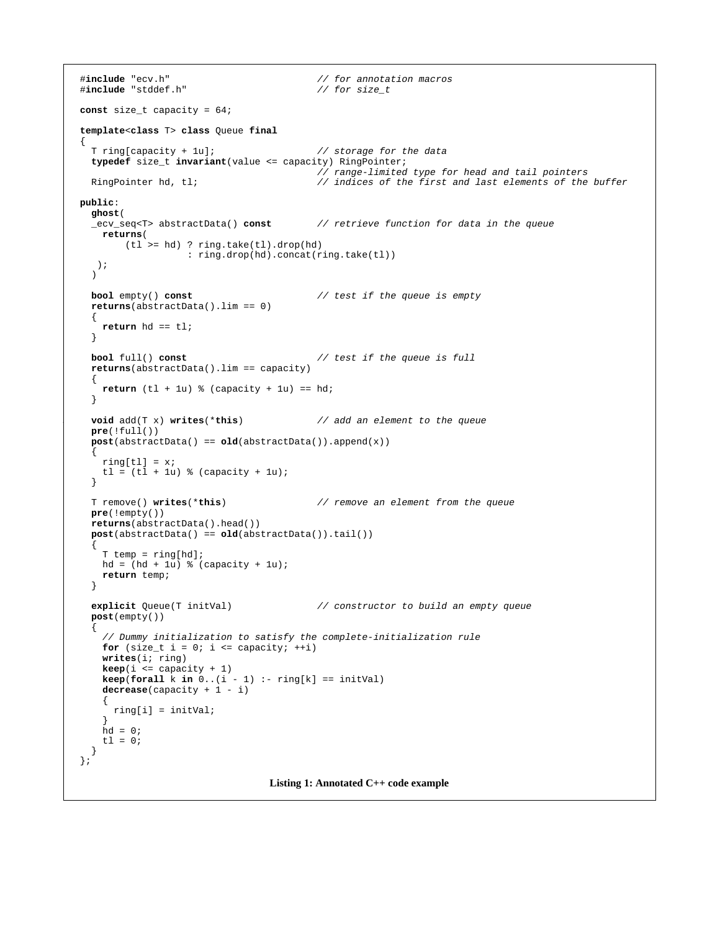```
2.6 Constrained Types 
The Ada language includes subrange types, which is a very 
#include "stddef.h" // for size_t
const size_t capacity = 64;
valid indices in the array, then array, then array, then array, then array, then an error can be reported (either \alphaduring formal verification or at run-time) as soon as the variable 
template<class T> class Queue final
     T ring [capacity + lu];
typedef size_t invariant(value <= capacity) RingPointer;
typedef size_t invariant(value <= capacity) RingPointer;<br>// range-limited type for head and tail pointers/
     RingPointer hd, tl;
public:
However, since our primary interest is formal verification rather 
 ghost( 
     _ecv_seq<T> abstractData() const
\text{returns} (
(tl >= hd) ? ring.take(tl).drop(hd)
: ring.drop(hd).concat(ring.take(tl))<br>):
the program is compiled. The invariant clause can be used to 
     bool empty() const
   typedef double invariant(value >= 0.0 
   \text{return } hd == tl;typedef double invariant(value >= -20.0 
     bool full() const
\{\text{return } (t1 + 1u) % (capacity + 1u) == hd;
\mathbf{v}void add(T x) writes(*this) // add an element to the queue
pre(!full())
\text{post}(\text{abstractData}() == \text{old}(\text{abstractData}()); \text{append}(x))\text{ring}[t] = x;<br>\frac{1}{2} \left( \frac{1}{2} + \frac{1}{2} \right) \frac{1}{2} \left( \frac{1}{2} + \frac{1}{2} \right)tl = (tl + 1u) % (capacity + 1u);<br>}
Use of dynamic memory allocation is generally not permitted in 
high-integrity real-time embedded systems. The collection types 
pie(:empty())<br>returns(abstractData().head())
post(abstractData() == old(abstractData()).tail())
implementation, so they are not available to us. Nevertheless, it is not available to us. Nevertheless, it is not available to us. Nevertheless, it is not available to us. Nevertheless, it is not available to us. Neverthe
T temp = ring[hd];
hd = (hd + 1u) % (capacity + 1u);
\text{return } \text{coup}providing a small number of abstract unbounded collection 
     explicit Queue(T initVal)
post(empty())
user-defined ghost type based on one of them, calculated from 
components of loop variants must be non-negative at 
 // Dummy initialization to satisfy the complete-initialization rule
\gamma bunnty initialization to satisfy the comp<br>for (size_t i = 0; i <= capacity; ++i)
writes(i; ring)\textbf{keep}(i \leq \texttt{capacity} + 1)\textbf{keep}(\textbf{forall } k \textbf{ in } 0..(i - 1) :- ring[k] == initVal)2.8 An Example 
 ring[i] = initVal; 
\left\{\right\} annotative a generic \left\{\right\}hd = 0;t = 0;from the head \mathbf{f}\mathbf{p}retrieve function for the sequence is member abstractData() and 
   it returns a value of the predefined abstract data type 
#include "ecv.h" // for annotation macros
                                                                      _ecv_seq<T>. This type describes an unbounded sequence 
                                                                      whose elements are of type T. It declares the usual sequences the usual sequences the usual sequences of the usual sequences of the usual sequences of the usual sequences of the usual sequences of the usual sequences of 
                                                                      member functions head, tail, take and drop along with concat
                                                                      for sequence concatenation, and these are used in the 
   specification. 
 T ring[capacity + 1u]; // storage for the data
   RingPointer hd, tl; // indices of the first and last elements of the buffer
                                                                            Preconditions: the preconditions of all function calls, 
   ecv_seq<T> abstractData() const // retrieve function for data in the queue
                                                                            Assertions and postconditions: an assertion must be 
                                                                               true whenever it is reached, and a function \frac{1}{2}postcondition must be satisfied at every return point in 
   bool empty() const <i>// test if the queue is empty
                                                                           Type constraints: whenever a variable is assigned, the intervals \mathbb{R}constraints for the type of the variable must be variable must be variable must be variable must be variable must be
                                                                               satisfied by the value being assigned. This applies to 
                                                                               built-in constraints (for example, the ranges of the ranges of the ranges of the ranges of the ranges of the ranges of the ranges of the ranges of the ranges of the ranges of the ranges of the ranges of the ranges of the 
   bool full() const  // test if the queue is full
                                                                               types. It also applies to other assignment-like contexts, \mathcal{L}_{\mathcal{A}}such as passing function parameters and returning 
                                                                           W_{\rm eff} is permissions: any variable or part of a variable or part of a variable or part of a variable or part of a variable or part of a variable or part of a variable or part of a variable or part of a variable or part
                                                                               \sigma assigned must expect as local variable or must expect a local variable or must be a local variable or must be a local variable or must be a local variable or must be a local variable or must be a local variable or mu
                                                                               be declared in the writes-clause of the containing 
                                                                               function. In most cases it is obvious whether and \frac{1}{2}assignment is permitted, but where a value is written is written. In the case \frac{1}{2}through a pointer, the pointer, this requires a verification \mathbb{R}T remove() writes(*this) \frac{1}{2} remove an element from the queue
                                                                               a derived class overrides a function in the base class, 
                                                                               the LSP must be satisfied. That is, the precondition \mathbb{R}may not be strengthened in the derived class function, 
                                                                               the postcondition may not be weakened, and no 
                                                                               additional variables may be written other than fields 
                                                                               declared in the derived class. The LSP also applies 
   explicit Queue(T initVal) // constructor to build an empty queue<br>namble wate())
                                                                               and preserved by the loop body. The integersed by the integersed by the integersed by \frac{1}{2}the head of the loop or the loop or the while-condition \frac{1}{2}false, and the loop body must preserve this condition 
                                                                               and either decrease the loop variant or no longer 
                                                                      To prove the verification conditions, our theorem prove
                                                                      the standard first-order techniques of resolution and 
                                                                      paramodulation, along with a term rewriting system. Our 
                                                                      specification notation uses only a small number of higher-order 
   { 
        returns( 
       ); 
      ) 
      returns(abstractData().lim == 0) 
      {
      } 
      returns(abstractData().lim == capacity) 
      {
      } 
   \{ring[t] = x; } 
      pre(!empty()) 
   \{ return temp; 
      } 
   \{ decrease(capacity + 1 - i) 
   \{ } 
      } 
  }; 
                                             Listing 1: Annotated C++ code example
```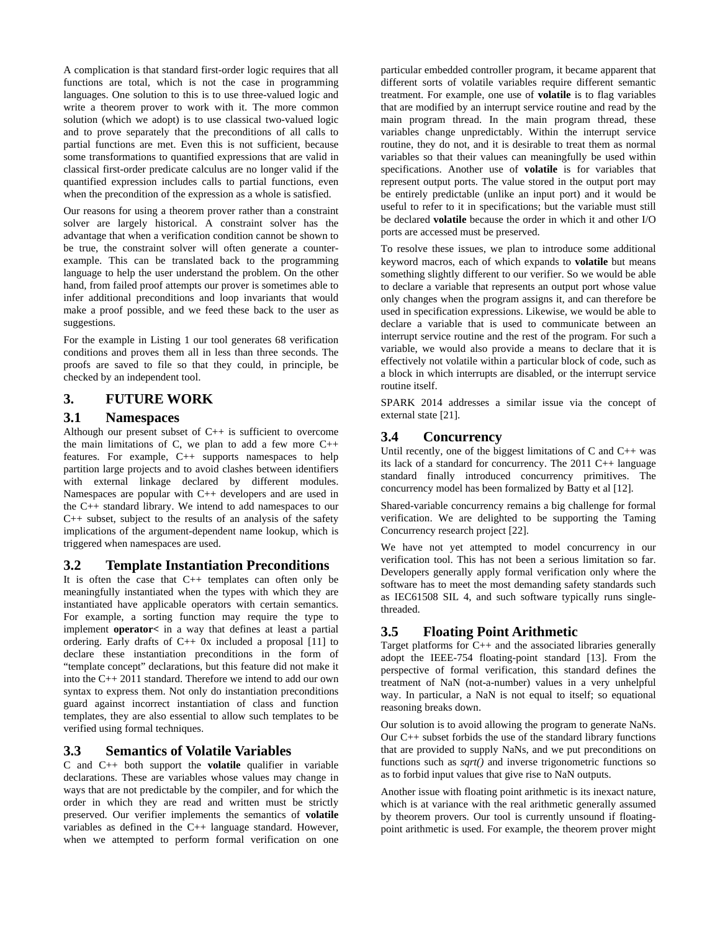A complication is that standard first-order logic requires that all functions are total, which is not the case in programming languages. One solution to this is to use three-valued logic and write a theorem prover to work with it. The more common solution (which we adopt) is to use classical two-valued logic and to prove separately that the preconditions of all calls to partial functions are met. Even this is not sufficient, because some transformations to quantified expressions that are valid in classical first-order predicate calculus are no longer valid if the quantified expression includes calls to partial functions, even when the precondition of the expression as a whole is satisfied.

Our reasons for using a theorem prover rather than a constraint solver are largely historical. A constraint solver has the advantage that when a verification condition cannot be shown to be true, the constraint solver will often generate a counterexample. This can be translated back to the programming language to help the user understand the problem. On the other hand, from failed proof attempts our prover is sometimes able to infer additional preconditions and loop invariants that would make a proof possible, and we feed these back to the user as suggestions.

For the example in Listing 1 our tool generates 68 verification conditions and proves them all in less than three seconds. The proofs are saved to file so that they could, in principle, be checked by an independent tool.

## **3. FUTURE WORK**

#### **3.1 Namespaces**

Although our present subset of C++ is sufficient to overcome the main limitations of C, we plan to add a few more  $C_{++}$ features. For example, C++ supports namespaces to help partition large projects and to avoid clashes between identifiers with external linkage declared by different modules. Namespaces are popular with C++ developers and are used in the C++ standard library. We intend to add namespaces to our C++ subset, subject to the results of an analysis of the safety implications of the argument-dependent name lookup, which is triggered when namespaces are used.

## **3.2 Template Instantiation Preconditions**

It is often the case that C++ templates can often only be meaningfully instantiated when the types with which they are instantiated have applicable operators with certain semantics. For example, a sorting function may require the type to implement **operator<** in a way that defines at least a partial ordering. Early drafts of  $C_{++}$  0x included a proposal [11] to declare these instantiation preconditions in the form of "template concept" declarations, but this feature did not make it into the C++ 2011 standard. Therefore we intend to add our own syntax to express them. Not only do instantiation preconditions guard against incorrect instantiation of class and function templates, they are also essential to allow such templates to be verified using formal techniques.

## **3.3 Semantics of Volatile Variables**

C and C++ both support the **volatile** qualifier in variable declarations. These are variables whose values may change in ways that are not predictable by the compiler, and for which the order in which they are read and written must be strictly preserved. Our verifier implements the semantics of **volatile** variables as defined in the  $C_{++}$  language standard. However, when we attempted to perform formal verification on one

particular embedded controller program, it became apparent that different sorts of volatile variables require different semantic treatment. For example, one use of **volatile** is to flag variables that are modified by an interrupt service routine and read by the main program thread. In the main program thread, these variables change unpredictably. Within the interrupt service routine, they do not, and it is desirable to treat them as normal variables so that their values can meaningfully be used within specifications. Another use of **volatile** is for variables that represent output ports. The value stored in the output port may be entirely predictable (unlike an input port) and it would be useful to refer to it in specifications; but the variable must still be declared **volatile** because the order in which it and other I/O ports are accessed must be preserved.

To resolve these issues, we plan to introduce some additional keyword macros, each of which expands to **volatile** but means something slightly different to our verifier. So we would be able to declare a variable that represents an output port whose value only changes when the program assigns it, and can therefore be used in specification expressions. Likewise, we would be able to declare a variable that is used to communicate between an interrupt service routine and the rest of the program. For such a variable, we would also provide a means to declare that it is effectively not volatile within a particular block of code, such as a block in which interrupts are disabled, or the interrupt service routine itself.

SPARK 2014 addresses a similar issue via the concept of external state [21].

## **3.4 Concurrency**

Until recently, one of the biggest limitations of  $C$  and  $C++$  was its lack of a standard for concurrency. The 2011 C++ language standard finally introduced concurrency primitives. The concurrency model has been formalized by Batty et al [12].

Shared-variable concurrency remains a big challenge for formal verification. We are delighted to be supporting the Taming Concurrency research project [22].

We have not yet attempted to model concurrency in our verification tool. This has not been a serious limitation so far. Developers generally apply formal verification only where the software has to meet the most demanding safety standards such as IEC61508 SIL 4, and such software typically runs singlethreaded.

# **3.5 Floating Point Arithmetic**

Target platforms for C++ and the associated libraries generally adopt the IEEE-754 floating-point standard [13]. From the perspective of formal verification, this standard defines the treatment of NaN (not-a-number) values in a very unhelpful way. In particular, a NaN is not equal to itself; so equational reasoning breaks down.

Our solution is to avoid allowing the program to generate NaNs. Our C++ subset forbids the use of the standard library functions that are provided to supply NaNs, and we put preconditions on functions such as *sqrt()* and inverse trigonometric functions so as to forbid input values that give rise to NaN outputs.

Another issue with floating point arithmetic is its inexact nature, which is at variance with the real arithmetic generally assumed by theorem provers. Our tool is currently unsound if floatingpoint arithmetic is used. For example, the theorem prover might